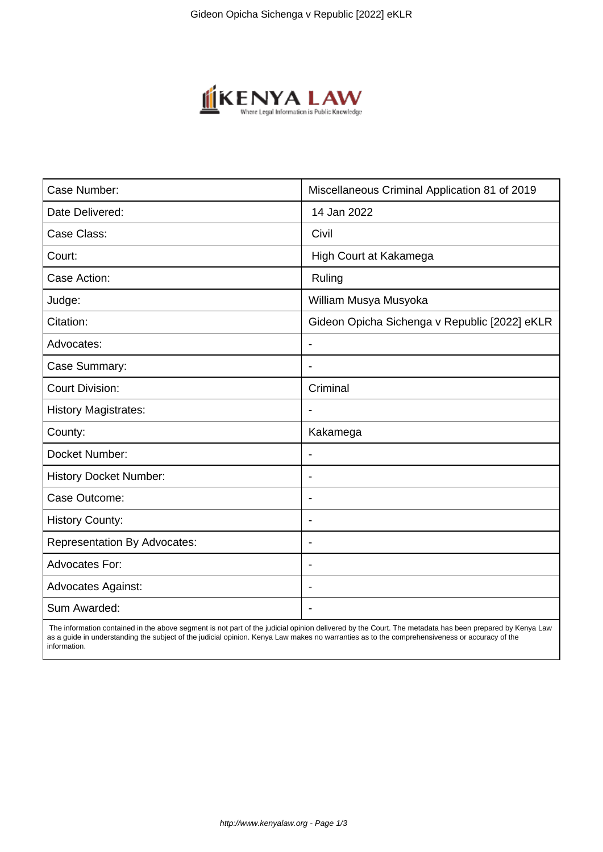

| Case Number:                        | Miscellaneous Criminal Application 81 of 2019 |
|-------------------------------------|-----------------------------------------------|
| Date Delivered:                     | 14 Jan 2022                                   |
| Case Class:                         | Civil                                         |
| Court:                              | High Court at Kakamega                        |
| Case Action:                        | Ruling                                        |
| Judge:                              | William Musya Musyoka                         |
| Citation:                           | Gideon Opicha Sichenga v Republic [2022] eKLR |
| Advocates:                          | $\blacksquare$                                |
| Case Summary:                       |                                               |
| <b>Court Division:</b>              | Criminal                                      |
| <b>History Magistrates:</b>         |                                               |
| County:                             | Kakamega                                      |
| Docket Number:                      |                                               |
| <b>History Docket Number:</b>       | $\overline{\phantom{a}}$                      |
| Case Outcome:                       | $\overline{\phantom{a}}$                      |
| <b>History County:</b>              | ÷.                                            |
| <b>Representation By Advocates:</b> | $\blacksquare$                                |
| <b>Advocates For:</b>               | $\blacksquare$                                |
| <b>Advocates Against:</b>           |                                               |
| Sum Awarded:                        |                                               |

 The information contained in the above segment is not part of the judicial opinion delivered by the Court. The metadata has been prepared by Kenya Law as a guide in understanding the subject of the judicial opinion. Kenya Law makes no warranties as to the comprehensiveness or accuracy of the information.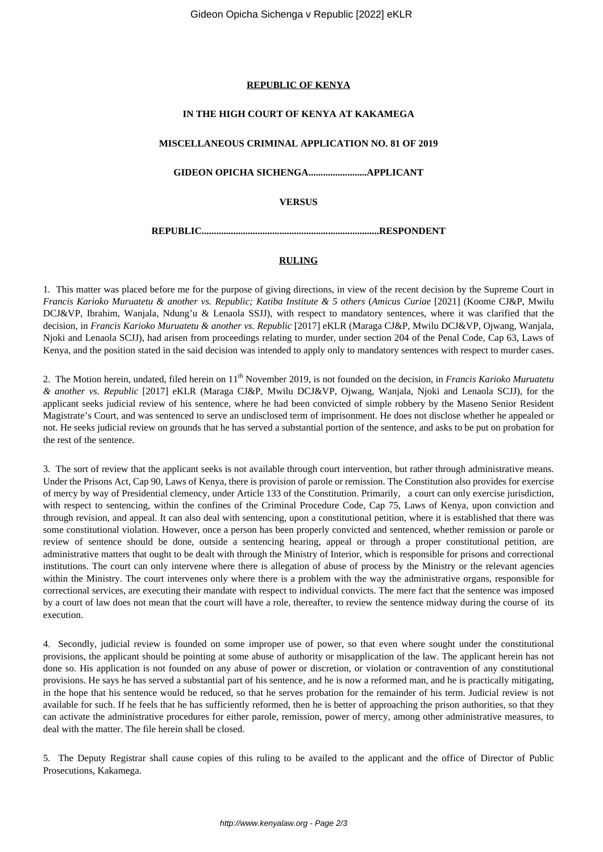#### **REPUBLIC OF KENYA**

### **IN THE HIGH COURT OF KENYA AT KAKAMEGA**

### **MISCELLANEOUS CRIMINAL APPLICATION NO. 81 OF 2019**

**GIDEON OPICHA SICHENGA........................APPLICANT**

**VERSUS**

**REPUBLIC.........................................................................RESPONDENT**

### **RULING**

1. This matter was placed before me for the purpose of giving directions, in view of the recent decision by the Supreme Court in *Francis Karioko Muruatetu & another vs. Republic; Katiba Institute & 5 others* (*Amicus Curiae* [2021] (Koome CJ&P, Mwilu DCJ&VP, Ibrahim, Wanjala, Ndung'u & Lenaola SSJJ), with respect to mandatory sentences, where it was clarified that the decision, in *Francis Karioko Muruatetu & another vs. Republic* [2017] eKLR (Maraga CJ&P, Mwilu DCJ&VP, Ojwang, Wanjala, Njoki and Lenaola SCJJ), had arisen from proceedings relating to murder, under section 204 of the Penal Code, Cap 63, Laws of Kenya, and the position stated in the said decision was intended to apply only to mandatory sentences with respect to murder cases.

2. The Motion herein, undated, filed herein on 11th November 2019, is not founded on the decision, in *Francis Karioko Muruatetu & another vs. Republic* [2017] eKLR (Maraga CJ&P, Mwilu DCJ&VP, Ojwang, Wanjala, Njoki and Lenaola SCJJ), for the applicant seeks judicial review of his sentence, where he had been convicted of simple robbery by the Maseno Senior Resident Magistrate's Court, and was sentenced to serve an undisclosed term of imprisonment. He does not disclose whether he appealed or not. He seeks judicial review on grounds that he has served a substantial portion of the sentence, and asks to be put on probation for the rest of the sentence.

3. The sort of review that the applicant seeks is not available through court intervention, but rather through administrative means. Under the Prisons Act, Cap 90, Laws of Kenya, there is provision of parole or remission. The Constitution also provides for exercise of mercy by way of Presidential clemency, under Article 133 of the Constitution. Primarily, a court can only exercise jurisdiction, with respect to sentencing, within the confines of the Criminal Procedure Code, Cap 75, Laws of Kenya, upon conviction and through revision, and appeal. It can also deal with sentencing, upon a constitutional petition, where it is established that there was some constitutional violation. However, once a person has been properly convicted and sentenced, whether remission or parole or review of sentence should be done, outside a sentencing hearing, appeal or through a proper constitutional petition, are administrative matters that ought to be dealt with through the Ministry of Interior, which is responsible for prisons and correctional institutions. The court can only intervene where there is allegation of abuse of process by the Ministry or the relevant agencies within the Ministry. The court intervenes only where there is a problem with the way the administrative organs, responsible for correctional services, are executing their mandate with respect to individual convicts. The mere fact that the sentence was imposed by a court of law does not mean that the court will have a role, thereafter, to review the sentence midway during the course of its execution.

4. Secondly, judicial review is founded on some improper use of power, so that even where sought under the constitutional provisions, the applicant should be pointing at some abuse of authority or misapplication of the law. The applicant herein has not done so. His application is not founded on any abuse of power or discretion, or violation or contravention of any constitutional provisions. He says he has served a substantial part of his sentence, and he is now a reformed man, and he is practically mitigating, in the hope that his sentence would be reduced, so that he serves probation for the remainder of his term. Judicial review is not available for such. If he feels that he has sufficiently reformed, then he is better of approaching the prison authorities, so that they can activate the administrative procedures for either parole, remission, power of mercy, among other administrative measures, to deal with the matter. The file herein shall be closed.

5. The Deputy Registrar shall cause copies of this ruling to be availed to the applicant and the office of Director of Public Prosecutions, Kakamega.